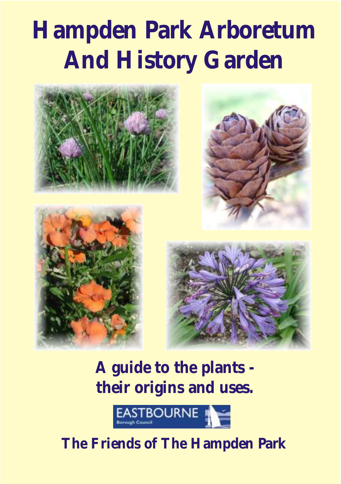# **Hampden Park Arboretum And History Garden**









**A guide to the plants their origins and uses.**



# **The Friends of The Hampden Park**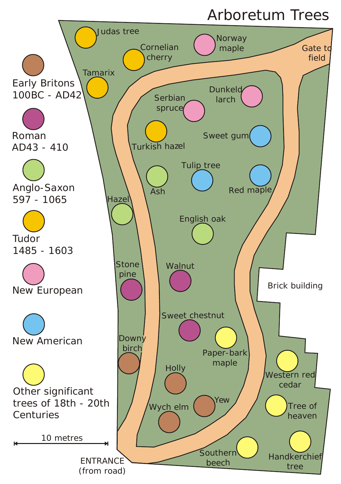## Arboretum Trees

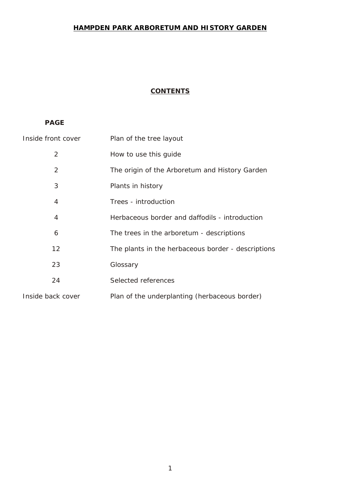#### **HAMPDEN PARK ARBORETUM AND HISTORY GARDEN**

#### **CONTENTS**

#### **PAGE**

| Inside front cover | Plan of the tree layout                            |
|--------------------|----------------------------------------------------|
| 2                  | How to use this quide                              |
| 2                  | The origin of the Arboretum and History Garden     |
| 3                  | Plants in history                                  |
| 4                  | Trees - introduction                               |
| 4                  | Herbaceous border and daffodils - introduction     |
| 6                  | The trees in the arboretum - descriptions          |
| 12                 | The plants in the herbaceous border - descriptions |
| 23                 | Glossary                                           |
| 24                 | Selected references                                |
| Inside back cover  | Plan of the underplanting (herbaceous border)      |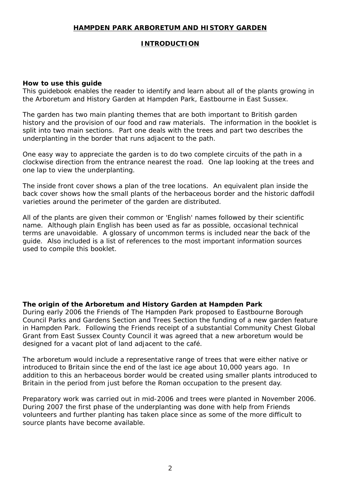#### **HAMPDEN PARK ARBORETUM AND HISTORY GARDEN**

#### **INTRODUCTION**

#### **How to use this guide**

This guidebook enables the reader to identify and learn about all of the plants growing in the Arboretum and History Garden at Hampden Park, Eastbourne in East Sussex.

The garden has two main planting themes that are both important to British garden history and the provision of our food and raw materials. The information in the booklet is split into two main sections. Part one deals with the trees and part two describes the underplanting in the border that runs adjacent to the path.

One easy way to appreciate the garden is to do two complete circuits of the path in a clockwise direction from the entrance nearest the road. One lap looking at the trees and one lap to view the underplanting.

The inside front cover shows a plan of the tree locations. An equivalent plan inside the back cover shows how the small plants of the herbaceous border and the historic daffodil varieties around the perimeter of the garden are distributed.

All of the plants are given their common or 'English' names followed by their scientific name. Although plain English has been used as far as possible, occasional technical terms are unavoidable. A glossary of uncommon terms is included near the back of the guide. Also included is a list of references to the most important information sources used to compile this booklet.

**The origin of the Arboretum and History Garden at Hampden Park** During early 2006 the Friends of The Hampden Park proposed to Eastbourne Borough Council Parks and Gardens Section and Trees Section the funding of a new garden feature in Hampden Park. Following the Friends receipt of a substantial Community Chest Global Grant from East Sussex County Council it was agreed that a new arboretum would be designed for a vacant plot of land adjacent to the café.

The arboretum would include a representative range of trees that were either native or introduced to Britain since the end of the last ice age about 10,000 years ago. In addition to this an herbaceous border would be created using smaller plants introduced to Britain in the period from just before the Roman occupation to the present day.

Preparatory work was carried out in mid-2006 and trees were planted in November 2006. During 2007 the first phase of the underplanting was done with help from Friends volunteers and further planting has taken place since as some of the more difficult to source plants have become available.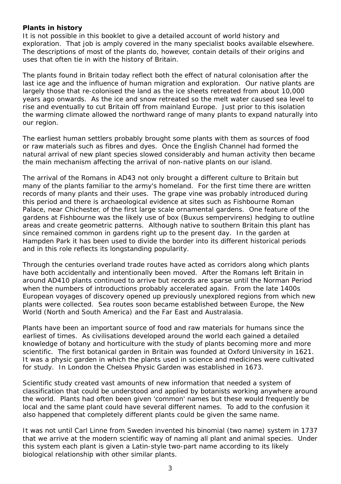#### **Plants in history**

It is not possible in this booklet to give a detailed account of world history and exploration. That job is amply covered in the many specialist books available elsewhere. The descriptions of most of the plants do, however, contain details of their origins and uses that often tie in with the history of Britain.

The plants found in Britain today reflect both the effect of natural colonisation after the last ice age and the influence of human migration and exploration. Our native plants are largely those that re-colonised the land as the ice sheets retreated from about 10,000 years ago onwards. As the ice and snow retreated so the melt water caused sea level to rise and eventually to cut Britain off from mainland Europe. Just prior to this isolation the warming climate allowed the northward range of many plants to expand naturally into our region.

The earliest human settlers probably brought some plants with them as sources of food or raw materials such as fibres and dyes. Once the English Channel had formed the natural arrival of new plant species slowed considerably and human activity then became the main mechanism affecting the arrival of non-native plants on our island.

The arrival of the Romans in AD43 not only brought a different culture to Britain but many of the plants familiar to the army's homeland. For the first time there are written records of many plants and their uses. The grape vine was probably introduced during this period and there is archaeological evidence at sites such as Fishbourne Roman Palace, near Chichester, of the first large scale ornamental gardens. One feature of the gardens at Fishbourne was the likely use of box (*Buxus sempervirens*) hedging to outline areas and create geometric patterns. Although native to southern Britain this plant has since remained common in gardens right up to the present day. In the garden at Hampden Park it has been used to divide the border into its different historical periods and in this role reflects its longstanding popularity.

Through the centuries overland trade routes have acted as corridors along which plants have both accidentally and intentionally been moved. After the Romans left Britain in around AD410 plants continued to arrive but records are sparse until the Norman Period when the numbers of introductions probably accelerated again. From the late 1400s European voyages of discovery opened up previously unexplored regions from which new plants were collected. Sea routes soon became established between Europe, the New World (North and South America) and the Far East and Australasia.

Plants have been an important source of food and raw materials for humans since the earliest of times. As civilisations developed around the world each gained a detailed knowledge of botany and horticulture with the study of plants becoming more and more scientific. The first botanical garden in Britain was founded at Oxford University in 1621. It was a physic garden in which the plants used in science and medicines were cultivated for study. In London the Chelsea Physic Garden was established in 1673.

Scientific study created vast amounts of new information that needed a system of classification that could be understood and applied by botanists working anywhere around the world. Plants had often been given 'common' names but these would frequently be local and the same plant could have several different names. To add to the confusion it also happened that completely different plants could be given the same name.

It was not until Carl Linne from Sweden invented his binomial (two name) system in 1737 that we arrive at the modern scientific way of naming all plant and animal species. Under this system each plant is given a Latin-style two-part name according to its likely biological relationship with other similar plants.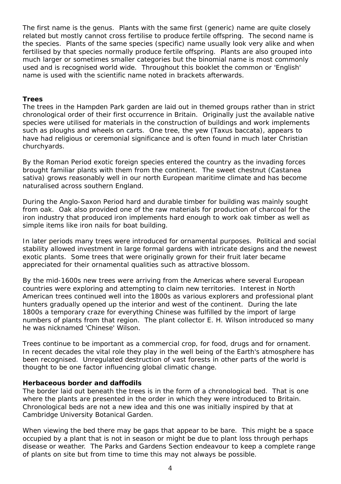The first name is the genus. Plants with the same first (generic) name are quite closely related but mostly cannot cross fertilise to produce fertile offspring. The second name is the species. Plants of the same species (specific) name usually look very alike and when fertilised by that species normally produce fertile offspring. Plants are also grouped into much larger or sometimes smaller categories but the binomial name is most commonly used and is recognised world wide. Throughout this booklet the common or 'English' name is used with the scientific name noted in brackets afterwards.

#### **Trees**

The trees in the Hampden Park garden are laid out in themed groups rather than in strict chronological order of their first occurrence in Britain. Originally just the available native species were utilised for materials in the construction of buildings and work implements such as ploughs and wheels on carts. One tree, the yew (*Taxus baccata*), appears to have had religious or ceremonial significance and is often found in much later Christian churchyards.

By the Roman Period exotic foreign species entered the country as the invading forces brought familiar plants with them from the continent. The sweet chestnut (*Castanea sativa*) grows reasonably well in our north European maritime climate and has become naturalised across southern England.

During the Anglo-Saxon Period hard and durable timber for building was mainly sought from oak. Oak also provided one of the raw materials for production of charcoal for the iron industry that produced iron implements hard enough to work oak timber as well as simple items like iron nails for boat building.

In later periods many trees were introduced for ornamental purposes. Political and social stability allowed investment in large formal gardens with intricate designs and the newest exotic plants. Some trees that were originally grown for their fruit later became appreciated for their ornamental qualities such as attractive blossom.

By the mid-1600s new trees were arriving from the Americas where several European countries were exploring and attempting to claim new territories. Interest in North American trees continued well into the 1800s as various explorers and professional plant hunters gradually opened up the interior and west of the continent. During the late 1800s a temporary craze for everything Chinese was fulfilled by the import of large numbers of plants from that region. The plant collector E. H. Wilson introduced so many he was nicknamed 'Chinese' Wilson.

Trees continue to be important as a commercial crop, for food, drugs and for ornament. In recent decades the vital role they play in the well being of the Earth's atmosphere has been recognised. Unregulated destruction of vast forests in other parts of the world is thought to be one factor influencing global climatic change.

#### **Herbaceous border and daffodils**

The border laid out beneath the trees is in the form of a chronological bed. That is one where the plants are presented in the order in which they were introduced to Britain. Chronological beds are not a new idea and this one was initially inspired by that at Cambridge University Botanical Garden.

When viewing the bed there may be gaps that appear to be bare. This might be a space occupied by a plant that is not in season or might be due to plant loss through perhaps disease or weather. The Parks and Gardens Section endeavour to keep a complete range of plants on site but from time to time this may not always be possible.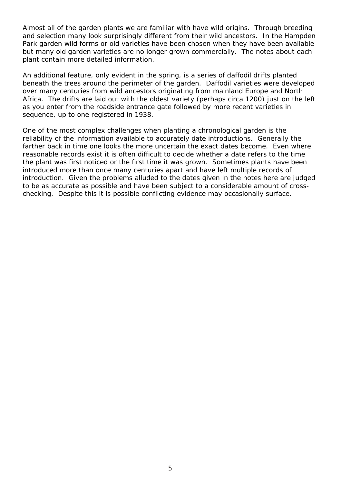Almost all of the garden plants we are familiar with have wild origins. Through breeding and selection many look surprisingly different from their wild ancestors. In the Hampden Park garden wild forms or old varieties have been chosen when they have been available but many old garden varieties are no longer grown commercially. The notes about each plant contain more detailed information.

An additional feature, only evident in the spring, is a series of daffodil drifts planted beneath the trees around the perimeter of the garden. Daffodil varieties were developed over many centuries from wild ancestors originating from mainland Europe and North Africa. The drifts are laid out with the oldest variety (perhaps circa 1200) just on the left as you enter from the roadside entrance gate followed by more recent varieties in sequence, up to one registered in 1938.

One of the most complex challenges when planting a chronological garden is the reliability of the information available to accurately date introductions. Generally the farther back in time one looks the more uncertain the exact dates become. Even where reasonable records exist it is often difficult to decide whether a date refers to the time the plant was first noticed or the first time it was grown. Sometimes plants have been introduced more than once many centuries apart and have left multiple records of introduction. Given the problems alluded to the dates given in the notes here are judged to be as accurate as possible and have been subject to a considerable amount of crosschecking. Despite this it is possible conflicting evidence may occasionally surface.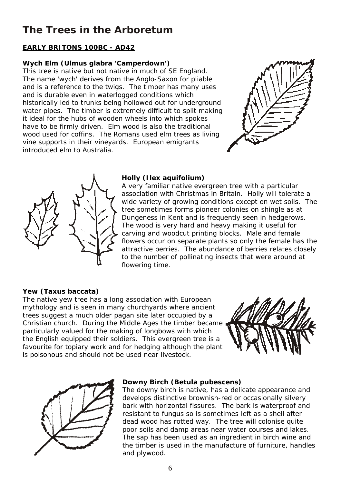### **The Trees in the Arboretum**

#### **EARLY BRITONS 100BC - AD42**

#### **Wych Elm (***Ulmus glabra* **'Camperdown')**

This tree is native but not native in much of SE England. The name 'wych' derives from the Anglo-Saxon for pliable and is a reference to the twigs. The timber has many uses and is durable even in waterlogged conditions which historically led to trunks being hollowed out for underground water pipes. The timber is extremely difficult to split making it ideal for the hubs of wooden wheels into which spokes have to be firmly driven. Elm wood is also the traditional wood used for coffins. The Romans used elm trees as living vine supports in their vineyards. European emigrants introduced elm to Australia.





#### **Holly (***Ilex aquifolium***)**

A very familiar native evergreen tree with a particular association with Christmas in Britain. Holly will tolerate a wide variety of growing conditions except on wet soils. The tree sometimes forms pioneer colonies on shingle as at Dungeness in Kent and is frequently seen in hedgerows. The wood is very hard and heavy making it useful for carving and woodcut printing blocks. Male and female flowers occur on separate plants so only the female has the attractive berries. The abundance of berries relates closely to the number of pollinating insects that were around at flowering time.

#### **Yew (***Taxus baccata***)**

The native yew tree has a long association with European mythology and is seen in many churchyards where ancient trees suggest a much older pagan site later occupied by a Christian church. During the Middle Ages the timber became particularly valued for the making of longbows with which the English equipped their soldiers. This evergreen tree is a favourite for topiary work and for hedging although the plant is poisonous and should not be used near livestock.





#### **Downy Birch (***Betula pubescens***)**

The downy birch is native, has a delicate appearance and develops distinctive brownish-red or occasionally silvery bark with horizontal fissures. The bark is waterproof and resistant to fungus so is sometimes left as a shell after dead wood has rotted way. The tree will colonise quite poor soils and damp areas near water courses and lakes. The sap has been used as an ingredient in birch wine and the timber is used in the manufacture of furniture, handles and plywood.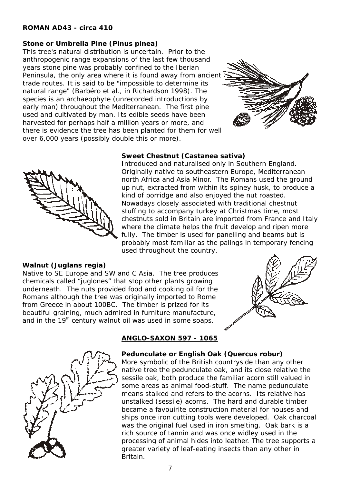#### **ROMAN AD43 - circa 410**

#### **Stone or Umbrella Pine (***Pinus pinea***)**

This tree's natural distribution is uncertain. Prior to the anthropogenic range expansions of the last few thousand years stone pine was probably confined to the Iberian Peninsula, the only area where it is found away from ancien trade routes. It is said to be "impossible to determine its natural range" (Barbéro et al., in Richardson 1998). The species is an archaeophyte (unrecorded introductions by early man) throughout the Mediterranean. The first pine used and cultivated by man. Its edible seeds have been harvested for perhaps half a million years or more, and there is evidence the tree has been planted for them for well over 6,000 years (possibly double this or more).





#### **Walnut (***Juglans regia***)**

Native to SE Europe and SW and C Asia. The tree produces chemicals called "juglones" that stop other plants growing underneath. The nuts provided food and cooking oil for the Romans although the tree was originally imported to Rome from Greece in about 100BC. The timber is prized for its beautiful graining, much admired in furniture manufacture, and in the  $19<sup>th</sup>$  century walnut oil was used in some soaps.





#### **ANGLO-SAXON 597 - 1065**

used throughout the country.

**Sweet Chestnut (***Castanea sativa***)**

Introduced and naturalised only in Southern England. Originally native to southeastern Europe, Mediterranean north Africa and Asia Minor. The Romans used the ground up nut, extracted from within its spiney husk, to produce a

kind of porridge and also enjoyed the nut roasted. Nowadays closely associated with traditional chestnut stuffing to accompany turkey at Christmas time, most chestnuts sold in Britain are imported from France and Italy where the climate helps the fruit develop and ripen more fully. The timber is used for panelling and beams but is probably most familiar as the palings in temporary fencing

**Pedunculate or English Oak (***Quercus robur***)** More symbolic of the British countryside than any other native tree the pedunculate oak, and its close relative the sessile oak, both produce the familiar acorn still valued in some areas as animal food-stuff. The name pedunculate means stalked and refers to the acorns. Its relative has unstalked (sessile) acorns. The hard and durable timber became a favouirite construction material for houses and ships once iron cutting tools were developed. Oak charcoal was the original fuel used in iron smelting. Oak bark is a rich source of tannin and was once widley used in the processing of animal hides into leather. The tree supports a greater variety of leaf-eating insects than any other in Britain.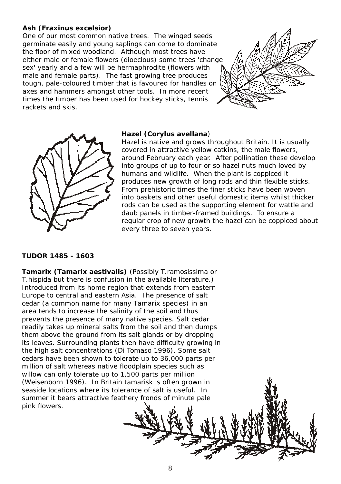#### **Ash (***Fraxinus excelsior***)**

One of our most common native trees. The winged seeds germinate easily and young saplings can come to dominate the floor of mixed woodland. Although most trees have either male or female flowers (dioecious) some trees 'change sex' yearly and a few will be hermaphrodite (flowers with male and female parts). The fast growing tree produces tough, pale-coloured timber that is favoured for handles on axes and hammers amongst other tools. In more recent times the timber has been used for hockey sticks, tennis rackets and skis.





#### **Hazel (***Corylus avellana*)

Hazel is native and grows throughout Britain. It is usually covered in attractive yellow catkins, the male flowers, around February each year. After pollination these develop into groups of up to four or so hazel nuts much loved by humans and wildlife. When the plant is coppiced it produces new growth of long rods and thin flexible sticks. From prehistoric times the finer sticks have been woven into baskets and other useful domestic items whilst thicker rods can be used as the supporting element for wattle and daub panels in timber-framed buildings. To ensure a regular crop of new growth the hazel can be coppiced about every three to seven years.

#### **TUDOR 1485 - 1603**

**Tamarix (***Tamarix aestivalis***)** (Possibly *T.ramosissima* or *T.hispida* but there is confusion in the available literature.) Introduced from its home region that extends from eastern Europe to central and eastern Asia. The presence of salt cedar (a common name for many *Tamarix* species) in an area tends to increase the salinity of the soil and thus prevents the presence of many native species. Salt cedar readily takes up mineral salts from the soil and then dumps them above the ground from its salt glands or by dropping its leaves. Surrounding plants then have difficulty growing in the high salt concentrations (Di Tomaso 1996). Some salt cedars have been shown to tolerate up to 36,000 parts per million of salt whereas native floodplain species such as willow can only tolerate up to 1,500 parts per million (Weisenborn 1996). In Britain tamarisk is often grown in seaside locations where its tolerance of salt is useful. In summer it bears attractive feathery fronds of minute pale pink flowers.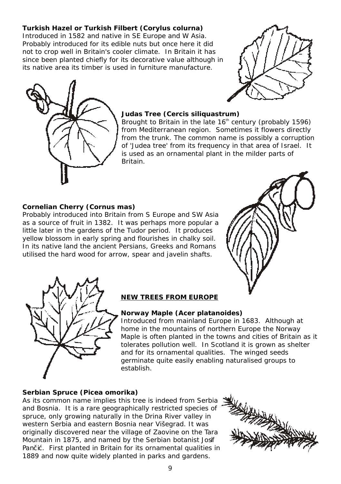**Turkish Hazel or Turkish Filbert (***Corylus colurna***)** Introduced in 1582 and native in SE Europe and W Asia. Probably introduced for its edible nuts but once here it did not to crop well in Britain's cooler climate. In Britain it has since been planted chiefly for its decorative value although in its native area its timber is used in furniture manufacture.





#### **Judas Tree (***Cercis siliquastrum***)**

Brought to Britain in the late 16<sup>th</sup> century (probably 1596) from Mediterranean region. Sometimes it flowers directly from the trunk. The common name is possibly a corruption of 'Judea tree' from its frequency in that area of Israel. It is used as an ornamental plant in the milder parts of Britain.

#### **Cornelian Cherry (***Cornus mas***)**

Probably introduced into Britain from S Europe and SW Asia as a source of fruit in 1382. It was perhaps more popular a little later in the gardens of the Tudor period. It produces yellow blossom in early spring and flourishes in chalky soil. In its native land the ancient Persians, Greeks and Romans utilised the hard wood for arrow, spear and javelin shafts.





#### **NEW TREES FROM EUROPE**

#### **Norway Maple (***Acer platanoides***)**

Introduced from mainland Europe in 1683. Although at home in the mountains of northern Europe the Norway Maple is often planted in the towns and cities of Britain as it tolerates pollution well. In Scotland it is grown as shelter and for its ornamental qualities. The winged seeds germinate quite easily enabling naturalised groups to establish.

#### **Serbian Spruce (***Picea omorika***)**

As its common name implies this tree is indeed from Serbia and Bosnia. It is a rare geographically restricted species of spruce, only growing naturally in the Drina River valley in western Serbia and eastern Bosnia near Višegrad. It was originally discovered near the village of Zaovine on the Tara Mountain in 1875, and named by the Serbian botanist Josif Pan i. First planted in Britain for its ornamental qualities in 1889 and now quite widely planted in parks and gardens.

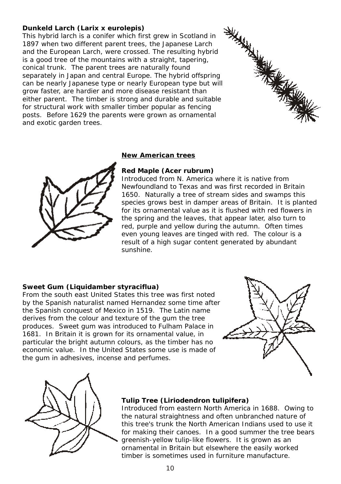#### **Dunkeld Larch (***Larix* **x** *eurolepis***)**

This hybrid larch is a conifer which first grew in Scotland in 1897 when two different parent trees, the Japanese Larch and the European Larch, were crossed. The resulting hybrid is a good tree of the mountains with a straight, tapering, conical trunk. The parent trees are naturally found separately in Japan and central Europe. The hybrid offspring can be nearly Japanese type or nearly European type but will grow faster, are hardier and more disease resistant than either parent. The timber is strong and durable and suitable for structural work with smaller timber popular as fencing posts. Before 1629 the parents were grown as ornamental and exotic garden trees.





#### **New American trees**

#### **Red Maple (***Acer rubrum***)**

Introduced from N. America where it is native from Newfoundland to Texas and was first recorded in Britain 1650. Naturally a tree of stream sides and swamps this species grows best in damper areas of Britain. It is planted for its ornamental value as it is flushed with red flowers in the spring and the leaves, that appear later, also turn to red, purple and yellow during the autumn. Often times even young leaves are tinged with red. The colour is a result of a high sugar content generated by abundant sunshine.

#### **Sweet Gum (***Liquidamber styraciflua***)**

From the south east United States this tree was first noted by the Spanish naturalist named Hernandez some time after the Spanish conquest of Mexico in 1519. The Latin name derives from the colour and texture of the gum the tree produces. Sweet gum was introduced to Fulham Palace in 1681. In Britain it is grown for its ornamental value, in particular the bright autumn colours, as the timber has no economic value. In the United States some use is made of the gum in adhesives, incense and perfumes.





#### **Tulip Tree (***Liriodendron tulipifera***)**

Introduced from eastern North America in 1688. Owing to the natural straightness and often unbranched nature of this tree's trunk the North American Indians used to use it for making their canoes. In a good summer the tree bears greenish-yellow tulip-like flowers. It is grown as an ornamental in Britain but elsewhere the easily worked timber is sometimes used in furniture manufacture.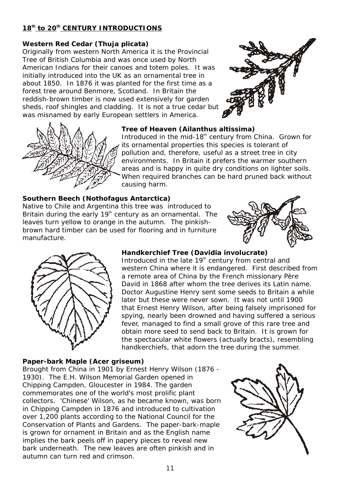#### 18<sup>th</sup> to 20<sup>th</sup> CENTURY INTRODUCTIONS

#### **Western Red Cedar (***Thuja plicata***)**

Originally from western North America it is the Provincial Tree of British Columbia and was once used by North American Indians for their canoes and totem poles. It was initially introduced into the UK as an ornamental tree in about 1850. In 1876 it was planted for the first time as a forest tree around Benmore, Scotland. In Britain the reddish-brown timber is now used extensively for garden sheds, roof shingles and cladding. It is not a true cedar but was misnamed by early European settlers in America.





#### **Tree of Heaven (***Ailanthus altissima***)**

Introduced in the mid-18<sup>th</sup> century from China. Grown for its ornamental properties this species is tolerant of pollution and, therefore, useful as a street tree in city environments. In Britain it prefers the warmer southern areas and is happy in quite dry conditions on lighter soils. When required branches can be hard pruned back without causing harm.

### **Southern Beech (***Nothofagus Antarctica***)**

Native to Chile and Argentina this tree was introduced to Britain during the early  $19<sup>th</sup>$  century as an ornamental. The leaves turn yellow to orange in the autumn. The pinkishbrown hard timber can be used for flooring and in furniture manufacture.





**Handkerchief Tree (***Davidia involucrate***)** Introduced in the late 19<sup>th</sup> century from central and western China where it is endangered. First described from a remote area of China by the French missionary Père David in 1868 after whom the tree derives its Latin name. Doctor Augustine Henry sent some seeds to Britain a while later but these were never sown. It was not until 1900 that Ernest Henry Wilson, after being falsely imprisoned for spying, nearly been drowned and having suffered a serious fever, managed to find a small grove of this rare tree and obtain more seed to send back to Britain. It is grown for the spectacular white flowers (actually bracts), resembling handkerchiefs, that adorn the tree during the summer.

#### **Paper-bark Maple (***Acer griseum)* Brought from China in 1901 by Ernest Henry Wilson (1876 - 1930). The E.H. Wilson Memorial Garden opened in Chipping Campden, Gloucester in 1984. The garden commemorates one of the world's most prolific plant collectors. 'Chinese' Wilson, as he became known, was born in Chipping Campden in 1876 and introduced to cultivation over 1,200 plants according to the National Council for the Conservation of Plants and Gardens. The paper-bark-maple is grown for ornament in Britain and as the English name implies the bark peels off in papery pieces to reveal new bark underneath. The new leaves are often pinkish and in autumn can turn red and crimson.

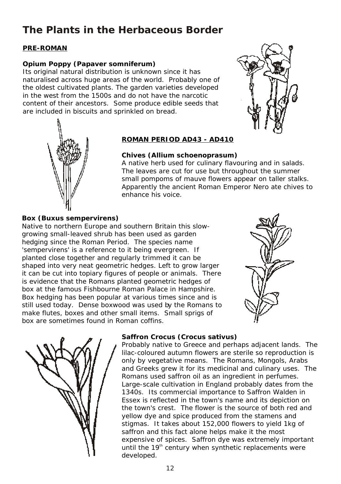### **The Plants in the Herbaceous Border**

#### **PRE-ROMAN**

#### **Opium Poppy (***Papaver somniferum***)**

Its original natural distribution is unknown since it has naturalised across huge areas of the world. Probably one of the oldest cultivated plants. The garden varieties developed in the west from the 1500s and do not have the narcotic content of their ancestors. Some produce edible seeds that are included in biscuits and sprinkled on bread.





#### **ROMAN PERIOD AD43 - AD410**

#### **Chives (***Allium schoenoprasum***)**

A native herb used for culinary flavouring and in salads. The leaves are cut for use but throughout the summer small pompoms of mauve flowers appear on taller stalks. Apparently the ancient Roman Emperor Nero ate chives to enhance his voice.

#### **Box (***Buxus sempervirens***)**

Native to northern Europe and southern Britain this slowgrowing small-leaved shrub has been used as garden hedging since the Roman Period. The species name 'sempervirens' is a reference to it being evergreen. If planted close together and regularly trimmed it can be shaped into very neat geometric hedges. Left to grow larger it can be cut into topiary figures of people or animals. There is evidence that the Romans planted geometric hedges of box at the famous Fishbourne Roman Palace in Hampshire. Box hedging has been popular at various times since and is still used today. Dense boxwood was used by the Romans to make flutes, boxes and other small items. Small sprigs of box are sometimes found in Roman coffins.





#### **Saffron Crocus (***Crocus sativus***)**

Probably native to Greece and perhaps adjacent lands. The lilac-coloured autumn flowers are sterile so reproduction is only by vegetative means. The Romans, Mongols, Arabs and Greeks grew it for its medicinal and culinary uses. The Romans used saffron oil as an ingredient in perfumes. Large-scale cultivation in England probably dates from the 1340s. Its commercial importance to Saffron Walden in Essex is reflected in the town's name and its depiction on the town's crest. The flower is the source of both red and yellow dye and spice produced from the stamens and stigmas. It takes about 152,000 flowers to yield 1kg of saffron and this fact alone helps make it the most expensive of spices. Saffron dye was extremely important until the  $19<sup>th</sup>$  century when synthetic replacements were developed.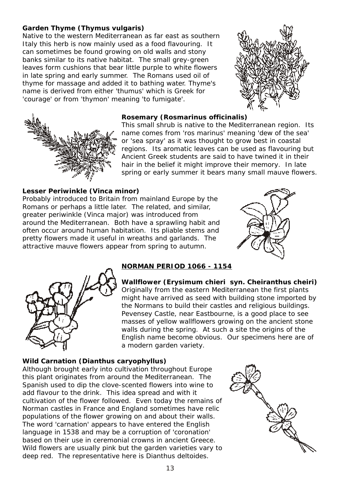#### **Garden Thyme (***Thymus vulgaris***)**

Native to the western Mediterranean as far east as southern Italy this herb is now mainly used as a food flavouring. It can sometimes be found growing on old walls and stony banks similar to its native habitat. The small grey-green leaves form cushions that bear little purple to white flowers in late spring and early summer. The Romans used oil of thyme for massage and added it to bathing water. Thyme's name is derived from either 'thumus' which is Greek for 'courage' or from 'thymon' meaning 'to fumigate'.





#### **Rosemary (***Rosmarinus officinalis***)**

This small shrub is native to the Mediterranean region. Its name comes from 'ros marinus' meaning 'dew of the sea' or 'sea spray' as it was thought to grow best in coastal regions. Its aromatic leaves can be used as flavouring but Ancient Greek students are said to have twined it in their hair in the belief it might improve their memory. In late spring or early summer it bears many small mauve flowers.

#### **Lesser Periwinkle (***Vinca minor***)**

Probably introduced to Britain from mainland Europe by the Romans or perhaps a little later. The related, and similar, greater periwinkle (*Vinca major*) was introduced from around the Mediterranean. Both have a sprawling habit and often occur around human habitation. Its pliable stems and pretty flowers made it useful in wreaths and garlands. The attractive mauve flowers appear from spring to autumn.





#### **NORMAN PERIOD 1066 - 1154**

**Wallflower (***Erysimum chieri syn. Cheiranthus cheiri***)** Originally from the eastern Mediterranean the first plants might have arrived as seed with building stone imported by the Normans to build their castles and religious buildings. Pevensey Castle, near Eastbourne, is a good place to see masses of yellow wallflowers growing on the ancient stone walls during the spring. At such a site the origins of the English name become obvious. Our specimens here are of a modern garden variety.

#### **Wild Carnation (***Dianthus caryophyllus***)**

Although brought early into cultivation throughout Europe this plant originates from around the Mediterranean. The Spanish used to dip the clove-scented flowers into wine to add flavour to the drink. This idea spread and with it cultivation of the flower followed. Even today the remains of Norman castles in France and England sometimes have relic populations of the flower growing on and about their walls. The word 'carnation' appears to have entered the English language in 1538 and may be a corruption of 'coronation' based on their use in ceremonial crowns in ancient Greece. Wild flowers are usually pink but the garden varieties vary to deep red. The representative here is *Dianthus deltoides*.

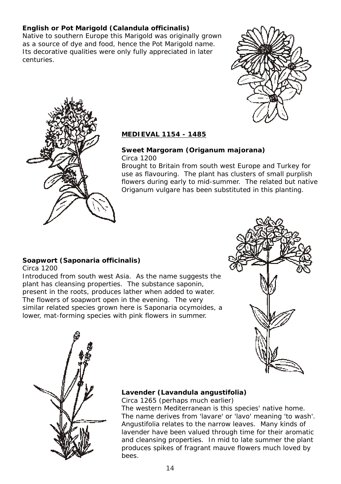**English or Pot Marigold (***Calandula officinalis***)** Native to southern Europe this Marigold was originally grown as a source of dye and food, hence the Pot Marigold name. Its decorative qualities were only fully appreciated in later centuries.





#### **MEDIEVAL 1154 - 1485**

**Sweet Margoram (***Origanum majorana***)** Circa 1200

Brought to Britain from south west Europe and Turkey for use as flavouring. The plant has clusters of small purplish flowers during early to mid-summer. The related but native *Origanum vulgare* has been substituted in this planting.

#### **Soapwort (***Saponaria officinalis***)**  $Circa 1200$

Introduced from south west Asia. As the name suggests the plant has cleansing properties. The substance saponin, present in the roots, produces lather when added to water. The flowers of soapwort open in the evening. The very similar related species grown here is *Saponaria ocymoides,* a lower, mat-forming species with pink flowers in summer.





#### **Lavender (***Lavandula angustifolia***)** Circa 1265 (perhaps much earlier)

The western Mediterranean is this species' native home. The name derives from 'lavare' or 'lavo' meaning 'to wash'. *Angustifolia* relates to the narrow leaves. Many kinds of lavender have been valued through time for their aromatic and cleansing properties. In mid to late summer the plant produces spikes of fragrant mauve flowers much loved by bees.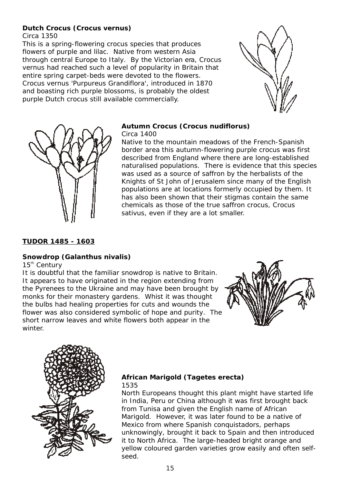#### **Dutch Crocus (***Crocus vernus***)** Circa 1350

This is a spring-flowering crocus species that produces flowers of purple and lilac. Native from western Asia through central Europe to Italy. By the Victorian era, *Crocus vernus* had reached such a level of popularity in Britain that entire spring carpet-beds were devoted to the flowers. *Crocus vernus* 'Purpureus Grandiflora', introduced in 1870 and boasting rich purple blossoms, is probably the oldest purple Dutch crocus still available commercially.





#### **Autumn Crocus (***Crocus nudiflorus***)** Circa 1400

Native to the mountain meadows of the French-Spanish border area this autumn-flowering purple crocus was first described from England where there are long-established naturalised populations. There is evidence that this species was used as a source of saffron by the herbalists of the Knights of St John of Jerusalem since many of the English populations are at locations formerly occupied by them. It has also been shown that their stigmas contain the same chemicals as those of the true saffron crocus, *Crocus sativus*, even if they are a lot smaller.

#### **TUDOR 1485 - 1603**

#### **Snowdrop (***Galanthus nivalis***)**

 $15<sup>th</sup>$  Century

It is doubtful that the familiar snowdrop is native to Britain. It appears to have originated in the region extending from the Pyrenees to the Ukraine and may have been brought by monks for their monastery gardens. Whist it was thought the bulbs had healing properties for cuts and wounds the flower was also considered symbolic of hope and purity. The short narrow leaves and white flowers both appear in the winter.





#### **African Marigold (***Tagetes* **erecta)** 1535

North Europeans thought this plant might have started life in India, Peru or China although it was first brought back from Tunisa and given the English name of African Marigold. However, it was later found to be a native of Mexico from where Spanish conquistadors, perhaps unknowingly, brought it back to Spain and then introduced it to North Africa. The large-headed bright orange and yellow coloured garden varieties grow easily and often selfseed.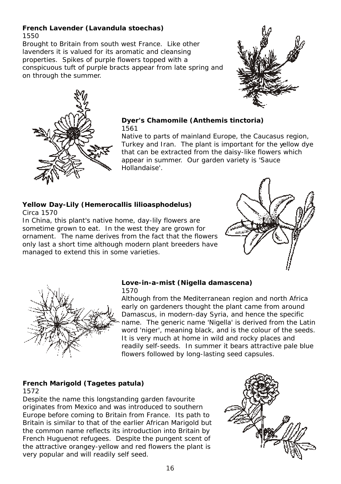#### **French Lavender (***Lavandula stoechas***)** 1550

Brought to Britain from south west France. Like other lavenders it is valued for its aromatic and cleansing properties. Spikes of purple flowers topped with a conspicuous tuft of purple bracts appear from late spring and on through the summer.





**Dyer's Chamomile (***Anthemis tinctoria***)** 1561

Native to parts of mainland Europe, the Caucasus region, Turkey and Iran. The plant is important for the yellow dye that can be extracted from the daisy-like flowers which appear in summer. Our garden variety is 'Sauce Hollandaise'.

**Yellow Day-Lily (***Hemerocallis lilioasphodelus***)** Circa 1570

In China, this plant's native home, day-lily flowers are sometime grown to eat. In the west they are grown for ornament. The name derives from the fact that the flowers only last a short time although modern plant breeders have managed to extend this in some varieties.





**Love-in-a-mist (***Nigella damascena***)** 1570

Although from the Mediterranean region and north Africa early on gardeners thought the plant came from around Damascus, in modern-day Syria, and hence the specific name. The generic name 'Nigella' is derived from the Latin word 'niger', meaning black, and is the colour of the seeds. It is very much at home in wild and rocky places and readily self-seeds. In summer it bears attractive pale blue flowers followed by long-lasting seed capsules.

#### **French Marigold (***Tagetes patula***)** 1572

Despite the name this longstanding garden favourite originates from Mexico and was introduced to southern Europe before coming to Britain from France. Its path to Britain is similar to that of the earlier African Marigold but the common name reflects its introduction into Britain by French Huguenot refugees. Despite the pungent scent of the attractive orangey-yellow and red flowers the plant is very popular and will readily self seed.

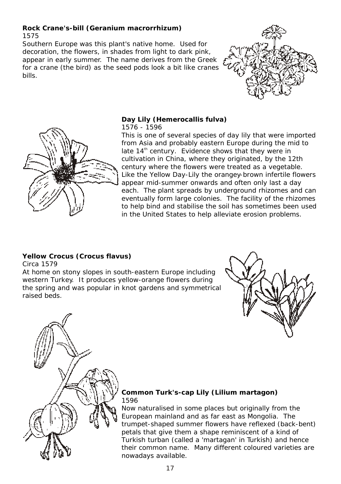#### **Rock Crane's-bill (***Geranium macrorrhizum***)** 1575

Southern Europe was this plant's native home. Used for decoration, the flowers, in shades from light to dark pink, appear in early summer. The name derives from the Greek for a crane (the bird) as the seed pods look a bit like cranes bills.





**Day Lily (***Hemerocallis fulva***)** 1576 - 1596

This is one of several species of day lily that were imported from Asia and probably eastern Europe during the mid to late  $14<sup>th</sup>$  century. Evidence shows that they were in cultivation in China, where they originated, by the 12th century where the flowers were treated as a vegetable. Like the Yellow Day-Lily the orangey-brown infertile flowers appear mid-summer onwards and often only last a day each. The plant spreads by underground rhizomes and can eventually form large colonies. The facility of the rhizomes to help bind and stabilise the soil has sometimes been used in the United States to help alleviate erosion problems.

#### **Yellow Crocus (***Crocus flavus***)** Circa 1579

At home on stony slopes in south-eastern Europe including western Turkey. It produces yellow-orange flowers during the spring and was popular in knot gardens and symmetrical raised beds.





**Common Turk's-cap Lily (***Lilium martagon***)** 1596

Now naturalised in some places but originally from the European mainland and as far east as Mongolia. The trumpet-shaped summer flowers have reflexed (back-bent) petals that give them a shape reminiscent of a kind of Turkish turban (called a 'martagan' in Turkish) and hence their common name. Many different coloured varieties are nowadays available.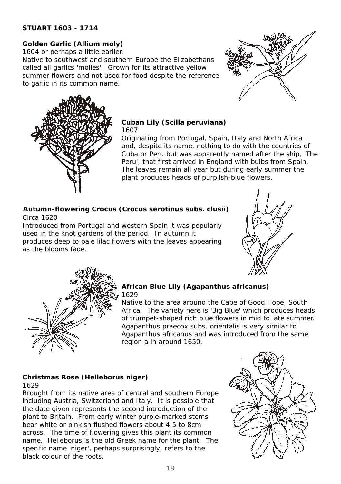#### **STUART 1603 - 1714**

**Golden Garlic (***Allium moly***)** 1604 or perhaps a little earlier.

Native to southwest and southern Europe the Elizabethans called all garlics 'molies'. Grown for its attractive yellow summer flowers and not used for food despite the reference to garlic in its common name.





**Cuban Lily (***Scilla peruviana***)** 1607

Originating from Portugal, Spain, Italy and North Africa and, despite its name, nothing to do with the countries of Cuba or Peru but was apparently named after the ship, 'The Peru', that first arrived in England with bulbs from Spain. The leaves remain all year but during early summer the plant produces heads of purplish-blue flowers.

Circa 1620 **Autumn-flowering Crocus (***Crocus serotinus* **subs.** *clusii***)**

Introduced from Portugal and western Spain it was popularly used in the knot gardens of the period. In autumn it produces deep to pale lilac flowers with the leaves appearing as the blooms fade.





**African Blue Lily (***Agapanthus africanus***)** 1629

Native to the area around the Cape of Good Hope, South Africa. The variety here is 'Big Blue' which produces heads of trumpet-shaped rich blue flowers in mid to late summer. *Agapanthus praecox* subs. *orientalis* is very similar to *Agapanthus africanus* and was introduced from the same region a in around 1650.

#### **Christmas Rose (***Helleborus niger***)** 1629

Brought from its native area of central and southern Europe including Austria, Switzerland and Italy. It is possible that the date given represents the second introduction of the plant to Britain. From early winter purple-marked stems bear white or pinkish flushed flowers about 4.5 to 8cm across. The time of flowering gives this plant its common name. *Helleborus* is the old Greek name for the plant. The specific name '*niger*', perhaps surprisingly, refers to the black colour of the roots.

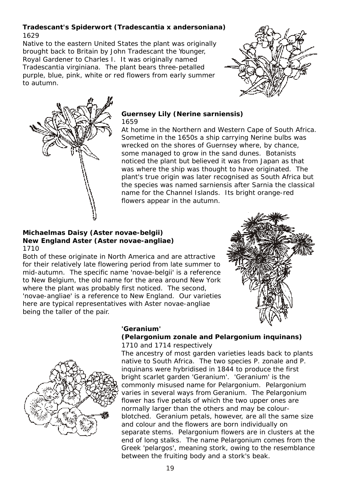1629 **Tradescant's Spiderwort (***Tradescantia x andersoniana***)**

Native to the eastern United States the plant was originally brought back to Britain by John Tradescant the Younger, Royal Gardener to Charles I. It was originally named *Tradescantia virginiana*. The plant bears three-petalled purple, blue, pink, white or red flowers from early summer to autumn.





**Guernsey Lily (***Nerine sarniensis***)** 1659

At home in the Northern and Western Cape of South Africa. Sometime in the 1650s a ship carrying *Nerine* bulbs was wrecked on the shores of Guernsey where, by chance, some managed to grow in the sand dunes. Botanists noticed the plant but believed it was from Japan as that was where the ship was thought to have originated. The plant's true origin was later recognised as South Africa but the species was named *sarniensis* after Sarnia the classical name for the Channel Islands. Its bright orange-red flowers appear in the autumn.

#### **Michaelmas Daisy (***Aster novae-belgii)* **New England Aster (***Aster novae-angliae***)** 1710

Both of these originate in North America and are attractive for their relatively late flowering period from late summer to mid-autumn. The specific name '*novae-belgii*' is a reference to New Belgium, the old name for the area around New York where the plant was probably first noticed. The second, '*novae-angliae*' is a reference to New England. Our varieties here are typical representatives with *Aster novae-angliae* being the taller of the pair.





**'Geranium'**

#### 1710 and 1714 respectively **(***Pelargonium zonale* **and** *Pelargonium inquinans***)**

The ancestry of most garden varieties leads back to plants native to South Africa. The two species *P. zonale* and *P. inquinans* were hybridised in 1844 to produce the first bright scarlet garden 'Geranium'. 'Geranium' is the commonly misused name for *Pelargonium*. *Pelargonium* varies in several ways from *Geranium*. The *Pelargonium*  flower has five petals of which the two upper ones are normally larger than the others and may be colourblotched. *Geranium* petals, however, are all the same size and colour and the flowers are born individually on separate stems. *Pelargonium* flowers are in clusters at the end of long stalks. The name *Pelargonium* comes from the Greek 'pelargos', meaning stork, owing to the resemblance between the fruiting body and a stork's beak.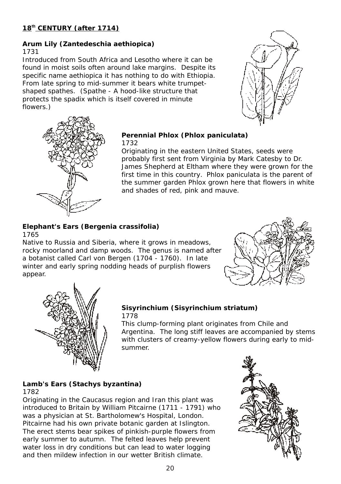#### **Arum Lily (***Zantedeschia aethiopica***)** 1731

Introduced from South Africa and Lesotho where it can be found in moist soils often around lake margins. Despite its specific name *aethiopica* it has nothing to do with Ethiopia. From late spring to mid-summer it bears white trumpetshaped spathes. (Spathe - A hood-like structure that protects the spadix which is itself covered in minute flowers.)





**Perennial Phlox (***Phlox paniculata***)** 1732

Originating in the eastern United States, seeds were probably first sent from Virginia by Mark Catesby to Dr. James Shepherd at Eltham where they were grown for the first time in this country. *Phlox paniculata* is the parent of the summer garden Phlox grown here that flowers in white and shades of red, pink and mauve.

**Elephant's Ears (***Bergenia crassifolia***)** 1765

Native to Russia and Siberia, where it grows in meadows, rocky moorland and damp woods. The genus is named after a botanist called Carl von Bergen (1704 - 1760). In late winter and early spring nodding heads of purplish flowers appear.





#### **Sisyrinchium (***Sisyrinchium striatum***)** 1778

This clump-forming plant originates from Chile and Argentina. The long stiff leaves are accompanied by stems with clusters of creamy-yellow flowers during early to midsummer.

#### **Lamb's Ears (***Stachys byzantina***)** 1782

Originating in the Caucasus region and Iran this plant was introduced to Britain by William Pitcairne (1711 - 1791) who was a physician at St. Bartholomew's Hospital, London. Pitcairne had his own private botanic garden at Islington. The erect stems bear spikes of pinkish-purple flowers from early summer to autumn. The felted leaves help prevent water loss in dry conditions but can lead to water logging and then mildew infection in our wetter British climate.

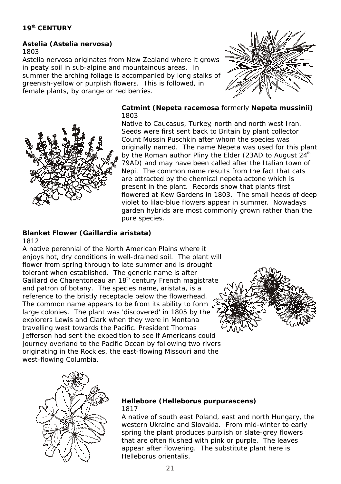**Astelia (***Astelia nervosa***)** 1803

*Astelia nervosa* originates from New Zealand where it grows in peaty soil in sub-alpine and mountainous areas. In summer the arching foliage is accompanied by long stalks of greenish-yellow or purplish flowers. This is followed, in female plants, by orange or red berries.





**Catmint (***Nepeta racemosa* formerly *Nepeta mussinii***)** 1803

Native to Caucasus, Turkey, north and north west Iran. Seeds were first sent back to Britain by plant collector Count Mussin Puschkin after whom the species was originally named. The name *Nepeta* was used for this plant by the Roman author Pliny the Elder (23AD to August 24<sup>th</sup> 79AD) and may have been called after the Italian town of Nepi. The common name results from the fact that cats are attracted by the chemical nepetalactone which is present in the plant. Records show that plants first flowered at Kew Gardens in 1803. The small heads of deep violet to lilac-blue flowers appear in summer. Nowadays garden hybrids are most commonly grown rather than the pure species.

#### **Blanket Flower (***Gaillardia aristata***)** 1812

A native perennial of the North American Plains where it enjoys hot, dry conditions in well-drained soil. The plant will flower from spring through to late summer and is drought tolerant when established. The generic name is after Gaillard de Charentoneau an 18<sup>th</sup> century French magistrate and patron of botany. The species name, *aristata*, is a reference to the bristly receptacle below the flowerhead. The common name appears to be from its ability to form. large colonies. The plant was 'discovered' in 1805 by the explorers Lewis and Clark when they were in Montana travelling west towards the Pacific. President Thomas Jefferson had sent the expedition to see if Americans could journey overland to the Pacific Ocean by following two rivers originating in the Rockies, the east-flowing Missouri and the west-flowing Columbia.





**Hellebore (***Helleborus purpurascens***)** 1817

A native of south east Poland, east and north Hungary, the western Ukraine and Slovakia. From mid-winter to early spring the plant produces purplish or slate-grey flowers that are often flushed with pink or purple. The leaves appear after flowering. The substitute plant here is *Helleborus orientalis*.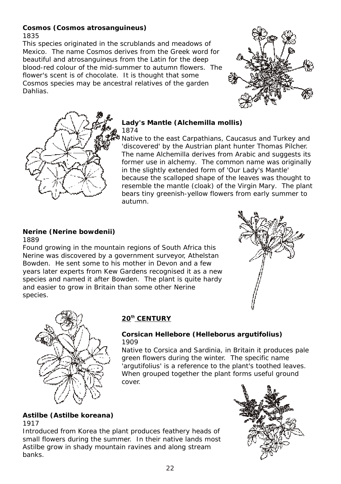#### **Cosmos (***Cosmos atrosanguineus***)** 1835

This species originated in the scrublands and meadows of Mexico. The name *Cosmos* derives from the Greek word for beautiful and *atrosanguineus* from the Latin for the deep blood-red colour of the mid-summer to autumn flowers. The flower's scent is of chocolate. It is thought that some *Cosmos* species may be ancestral relatives of the garden Dahlias.





**Lady's Mantle (***Alchemilla mollis***)** 1874

Native to the east Carpathians, Caucasus and Turkey and 'discovered' by the Austrian plant hunter Thomas Pilcher. The name *Alchemilla* derives from Arabic and suggests its former use in alchemy. The common name was originally in the slightly extended form of 'Our Lady's Mantle' because the scalloped shape of the leaves was thought to resemble the mantle (cloak) of the Virgin Mary. The plant bears tiny greenish-yellow flowers from early summer to autumn.

**Nerine (***Nerine bowdenii***)** 1889

Found growing in the mountain regions of South Africa this *Nerine* was discovered by a government surveyor, Athelstan Bowden. He sent some to his mother in Devon and a few years later experts from Kew Gardens recognised it as a new species and named it after Bowden. The plant is quite hardy and easier to grow in Britain than some other *Nerine*  species.





#### **th 20 CENTURY**

**Corsican Hellebore (***Helleborus argutifolius***)** 1909

Native to Corsica and Sardinia, in Britain it produces pale green flowers during the winter. The specific name '*argutifolius*' is a reference to the plant's toothed leaves. When grouped together the plant forms useful ground cover.

#### **Astilbe (***Astilbe koreana***)** 1917

Introduced from Korea the plant produces feathery heads of small flowers during the summer. In their native lands most *Astilbe* grow in shady mountain ravines and along stream banks.

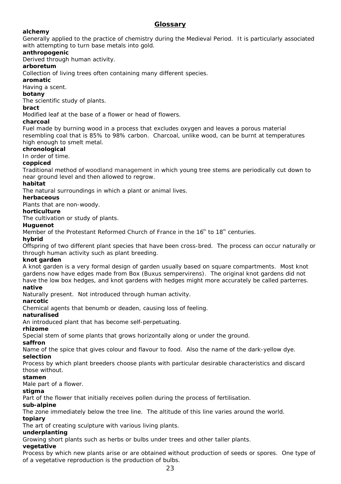#### **Glossary**

**alchemy**

Generally applied to the practice of chemistry during the Medieval Period. It is particularly associated with attempting to turn base metals into gold.

**anthropogenic**

Derived through human activity.

**arboretum**

Collection of living trees often containing many different species.

**aromatic**

Having a scent.

**botany**

The scientific study of plants.

**bract**

Modified leaf at the base of a flower or head of flowers.

**charcoal**

Fuel made by burning wood in a process that excludes oxygen and leaves a porous material resembling coal that is 85% to 98% carbon. Charcoal, unlike wood, can be burnt at temperatures high enough to smelt metal.

**chronological**

In order of time.

**coppiced**

Traditional method of woodland management in which young tree stems are periodically cut down to near ground level and then allowed to regrow.

**habitat**

The natural surroundings in which a plant or animal lives.

**herbaceous**

Plants that are non-woody.

**horticulture**

The cultivation or study of plants.

**Huguenot**

Member of the Protestant Reformed Church of France in the  $16<sup>th</sup>$  to  $18<sup>th</sup>$  centuries.

**hybrid**

Offspring of two different plant species that have been cross-bred. The process can occur naturally or through human activity such as plant breeding.

**knot garden**

A knot garden is a very formal design of garden usually based on square compartments. Most knot gardens now have edges made from Box (*Buxus sempervirens*). The original knot gardens did not have the low box hedges, and knot gardens with hedges might more accurately be called parterres. **native**

Naturally present. Not introduced through human activity.

**narcotic**

Chemical agents that benumb or deaden, causing loss of feeling.

**naturalised**

An introduced plant that has become self-perpetuating.

**rhizome**

Special stem of some plants that grows horizontally along or under the ground.

**saffron**

Name of the spice that gives colour and flavour to food. Also the name of the dark-yellow dye. **selection**

Process by which plant breeders choose plants with particular desirable characteristics and discard those without.

**stamen**

Male part of a flower.

**stigma**

Part of the flower that initially receives pollen during the process of fertilisation.

**sub-alpine**

The zone immediately below the tree line. The altitude of this line varies around the world. **topiary**

The art of creating sculpture with various living plants.

**underplanting**

Growing short plants such as herbs or bulbs under trees and other taller plants.

**vegetative**

Process by which new plants arise or are obtained without production of seeds or spores. One type of of a vegetative reproduction is the production of bulbs.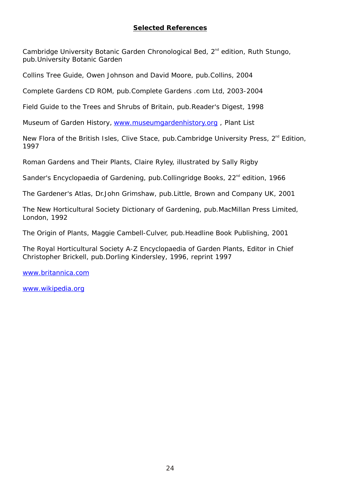#### **Selected References**

Cambridge University Botanic Garden Chronological Bed,  $2<sup>nd</sup>$  edition, Ruth Stungo, pub.University Botanic Garden

Collins Tree Guide, Owen Johnson and David Moore, pub.Collins, 2004

Complete Gardens CD ROM, pub.Complete Gardens .com Ltd, 2003-2004

Field Guide to the Trees and Shrubs of Britain, pub.Reader's Digest, 1998

Museum of Garden History, www.museumgardenhistory.org, Plant List

New Flora of the British Isles, Clive Stace, pub.Cambridge University Press,  $2^{nd}$  Edition, 1997

Roman Gardens and Their Plants, Claire Ryley, illustrated by Sally Rigby

Sander's Encyclopaedia of Gardening, pub.Collingridge Books, 22<sup>nd</sup> edition, 1966

The Gardener's Atlas, Dr.John Grimshaw, pub.Little, Brown and Company UK, 2001

The New Horticultural Society Dictionary of Gardening, pub.MacMillan Press Limited, London, 1992

The Origin of Plants, Maggie Cambell-Culver, pub.Headline Book Publishing, 2001

The Royal Horticultural Society A-Z Encyclopaedia of Garden Plants, Editor in Chief Christopher Brickell, pub.Dorling Kindersley, 1996, reprint 1997

www.britannica.com

www.wikipedia.org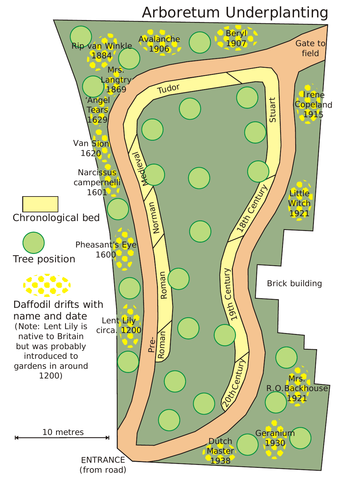# Arboretum Underplanting